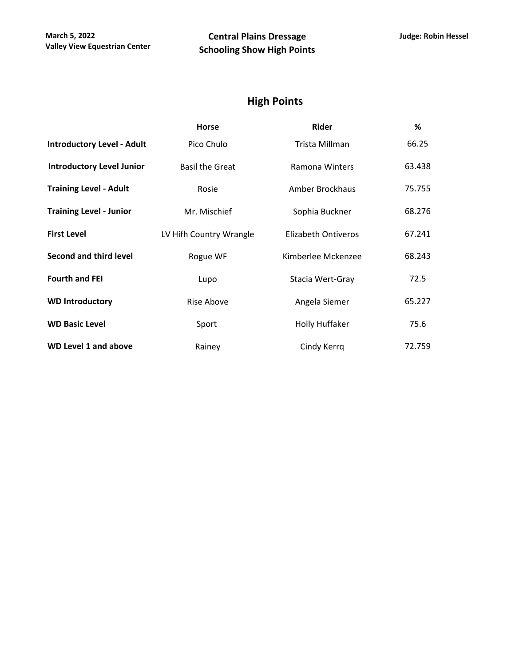## **High Points**

|                                   | <b>Horse</b>            | Rider               | %      |
|-----------------------------------|-------------------------|---------------------|--------|
| <b>Introductory Level - Adult</b> | Pico Chulo              | Trista Millman      | 66.25  |
| <b>Introductory Level Junior</b>  | <b>Basil the Great</b>  | Ramona Winters      | 63.438 |
| <b>Training Level - Adult</b>     | Rosie                   | Amber Brockhaus     | 75.755 |
| <b>Training Level - Junior</b>    | Mr. Mischief            | Sophia Buckner      | 68.276 |
| <b>First Level</b>                | LV Hifh Country Wrangle | Elizabeth Ontiveros | 67.241 |
| <b>Second and third level</b>     | Rogue WF                | Kimberlee Mckenzee  | 68.243 |
| <b>Fourth and FEI</b>             | Lupo                    | Stacia Wert-Gray    | 72.5   |
| <b>WD Introductory</b>            | Rise Above              | Angela Siemer       | 65.227 |
| <b>WD Basic Level</b>             | Sport                   | Holly Huffaker      | 75.6   |
| <b>WD Level 1 and above</b>       | Rainey                  | Cindy Kerrq         | 72.759 |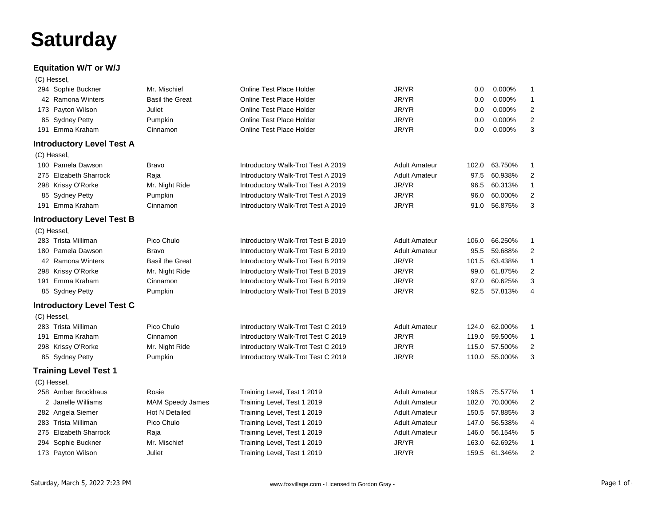# **Saturday**

#### **Equitation W/T or W/J**

|  | (C) Hessel, |
|--|-------------|
|--|-------------|

| 294 Sophie Buckner               | Mr. Mischief           | Online Test Place Holder           | JR/YR                | 0.0   | 0.000%  | 1                       |
|----------------------------------|------------------------|------------------------------------|----------------------|-------|---------|-------------------------|
| 42 Ramona Winters                | <b>Basil the Great</b> | Online Test Place Holder           | JR/YR                | 0.0   | 0.000%  | $\mathbf{1}$            |
| 173 Payton Wilson                | Juliet                 | <b>Online Test Place Holder</b>    | JR/YR                | 0.0   | 0.000%  | $\overline{2}$          |
| 85 Sydney Petty                  | Pumpkin                | <b>Online Test Place Holder</b>    | JR/YR                | 0.0   | 0.000%  | $\overline{2}$          |
| 191 Emma Kraham                  | Cinnamon               | Online Test Place Holder           | JR/YR                | 0.0   | 0.000%  | 3                       |
| <b>Introductory Level Test A</b> |                        |                                    |                      |       |         |                         |
| (C) Hessel,                      |                        |                                    |                      |       |         |                         |
| 180 Pamela Dawson                | <b>Bravo</b>           | Introductory Walk-Trot Test A 2019 | <b>Adult Amateur</b> | 102.0 | 63.750% | 1                       |
| 275 Elizabeth Sharrock           | Raja                   | Introductory Walk-Trot Test A 2019 | <b>Adult Amateur</b> | 97.5  | 60.938% | $\overline{2}$          |
| 298 Krissy O'Rorke               | Mr. Night Ride         | Introductory Walk-Trot Test A 2019 | JR/YR                | 96.5  | 60.313% | $\mathbf{1}$            |
| 85 Sydney Petty                  | Pumpkin                | Introductory Walk-Trot Test A 2019 | JR/YR                | 96.0  | 60.000% | $\overline{2}$          |
| 191 Emma Kraham                  | Cinnamon               | Introductory Walk-Trot Test A 2019 | JR/YR                | 91.0  | 56.875% | 3                       |
| <b>Introductory Level Test B</b> |                        |                                    |                      |       |         |                         |
| (C) Hessel,                      |                        |                                    |                      |       |         |                         |
| 283 Trista Milliman              | Pico Chulo             | Introductory Walk-Trot Test B 2019 | <b>Adult Amateur</b> | 106.0 | 66.250% | 1                       |
| 180 Pamela Dawson                | <b>Bravo</b>           | Introductory Walk-Trot Test B 2019 | <b>Adult Amateur</b> | 95.5  | 59.688% | $\overline{2}$          |
| 42 Ramona Winters                | <b>Basil the Great</b> | Introductory Walk-Trot Test B 2019 | JR/YR                | 101.5 | 63.438% | $\mathbf{1}$            |
| 298 Krissy O'Rorke               | Mr. Night Ride         | Introductory Walk-Trot Test B 2019 | JR/YR                | 99.0  | 61.875% | $\overline{2}$          |
| 191 Emma Kraham                  | Cinnamon               | Introductory Walk-Trot Test B 2019 | JR/YR                | 97.0  | 60.625% | 3                       |
| 85 Sydney Petty                  | Pumpkin                | Introductory Walk-Trot Test B 2019 | JR/YR                | 92.5  | 57.813% | 4                       |
| <b>Introductory Level Test C</b> |                        |                                    |                      |       |         |                         |
| (C) Hessel,                      |                        |                                    |                      |       |         |                         |
| 283 Trista Milliman              | Pico Chulo             | Introductory Walk-Trot Test C 2019 | <b>Adult Amateur</b> | 124.0 | 62.000% | 1                       |
| 191 Emma Kraham                  | Cinnamon               | Introductory Walk-Trot Test C 2019 | JR/YR                | 119.0 | 59.500% | 1                       |
| 298 Krissy O'Rorke               | Mr. Night Ride         | Introductory Walk-Trot Test C 2019 | JR/YR                | 115.0 | 57.500% | $\overline{2}$          |
| 85 Sydney Petty                  | Pumpkin                | Introductory Walk-Trot Test C 2019 | JR/YR                | 110.0 | 55.000% | 3                       |
| <b>Training Level Test 1</b>     |                        |                                    |                      |       |         |                         |
| (C) Hessel,                      |                        |                                    |                      |       |         |                         |
| 258 Amber Brockhaus              | Rosie                  | Training Level, Test 1 2019        | <b>Adult Amateur</b> | 196.5 | 75.577% | 1                       |
| 2 Janelle Williams               | MAM Speedy James       | Training Level, Test 1 2019        | <b>Adult Amateur</b> | 182.0 | 70.000% | $\overline{2}$          |
| 282 Angela Siemer                | Hot N Detailed         | Training Level, Test 1 2019        | <b>Adult Amateur</b> | 150.5 | 57.885% | 3                       |
| 283 Trista Milliman              | Pico Chulo             | Training Level, Test 1 2019        | <b>Adult Amateur</b> | 147.0 | 56.538% | 4                       |
| 275 Elizabeth Sharrock           | Raja                   | Training Level, Test 1 2019        | <b>Adult Amateur</b> | 146.0 | 56.154% | 5                       |
| 294 Sophie Buckner               | Mr. Mischief           | Training Level, Test 1 2019        | JR/YR                | 163.0 | 62.692% | $\mathbf{1}$            |
| 173 Payton Wilson                | Juliet                 | Training Level, Test 1 2019        | JR/YR                | 159.5 | 61.346% | $\overline{\mathbf{c}}$ |
|                                  |                        |                                    |                      |       |         |                         |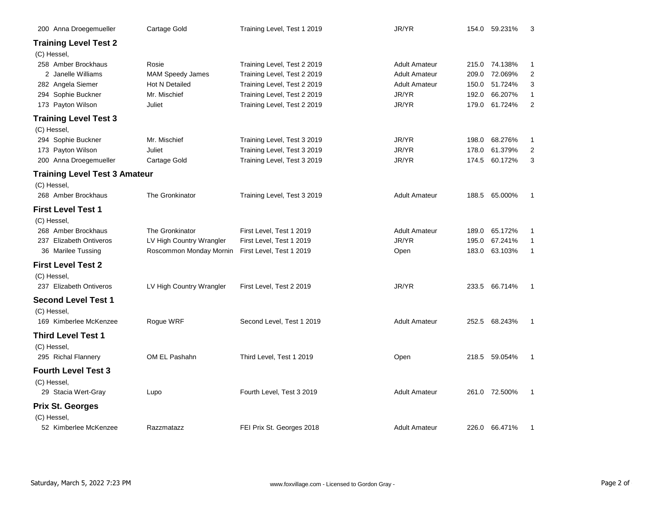| 200 Anna Droegemueller                    | Cartage Gold                              | Training Level, Test 1 2019                                | JR/YR                         |                | 154.0 59.231%      | 3                   |
|-------------------------------------------|-------------------------------------------|------------------------------------------------------------|-------------------------------|----------------|--------------------|---------------------|
| <b>Training Level Test 2</b>              |                                           |                                                            |                               |                |                    |                     |
| (C) Hessel,                               |                                           |                                                            |                               |                |                    |                     |
| 258 Amber Brockhaus<br>2 Janelle Williams | Rosie                                     | Training Level, Test 2 2019                                | <b>Adult Amateur</b>          |                | 215.0 74.138%      | 1                   |
|                                           | <b>MAM Speedy James</b><br>Hot N Detailed | Training Level, Test 2 2019                                | <b>Adult Amateur</b>          | 209.0          | 72.069%<br>51.724% | $\overline{2}$<br>3 |
| 282 Angela Siemer<br>294 Sophie Buckner   | Mr. Mischief                              | Training Level, Test 2 2019<br>Training Level, Test 2 2019 | <b>Adult Amateur</b><br>JR/YR | 150.0<br>192.0 | 66.207%            | 1                   |
| 173 Payton Wilson                         | Juliet                                    | Training Level, Test 2 2019                                | JR/YR                         | 179.0          | 61.724%            | $\overline{2}$      |
| <b>Training Level Test 3</b>              |                                           |                                                            |                               |                |                    |                     |
| (C) Hessel,                               |                                           |                                                            |                               |                |                    |                     |
| 294 Sophie Buckner                        | Mr. Mischief                              | Training Level, Test 3 2019                                | JR/YR                         | 198.0          | 68.276%            | 1                   |
| 173 Payton Wilson                         | Juliet                                    | Training Level, Test 3 2019                                | JR/YR                         | 178.0          | 61.379%            | 2                   |
| 200 Anna Droegemueller                    | Cartage Gold                              | Training Level, Test 3 2019                                | JR/YR                         |                | 174.5 60.172%      | 3                   |
| <b>Training Level Test 3 Amateur</b>      |                                           |                                                            |                               |                |                    |                     |
| (C) Hessel,                               |                                           |                                                            |                               |                |                    |                     |
| 268 Amber Brockhaus                       | The Gronkinator                           | Training Level, Test 3 2019                                | <b>Adult Amateur</b>          |                | 188.5 65.000%      | 1                   |
| <b>First Level Test 1</b>                 |                                           |                                                            |                               |                |                    |                     |
| (C) Hessel,                               |                                           |                                                            |                               |                |                    |                     |
| 268 Amber Brockhaus                       | The Gronkinator                           | First Level, Test 1 2019                                   | <b>Adult Amateur</b>          | 189.0          | 65.172%            | 1                   |
| 237 Elizabeth Ontiveros                   | LV High Country Wrangler                  | First Level, Test 1 2019                                   | JR/YR                         | 195.0          | 67.241%            | $\mathbf{1}$        |
| 36 Marilee Tussing                        | Roscommon Monday Mornin                   | First Level, Test 1 2019                                   | Open                          | 183.0          | 63.103%            | 1                   |
| <b>First Level Test 2</b>                 |                                           |                                                            |                               |                |                    |                     |
| (C) Hessel,                               |                                           |                                                            |                               |                |                    |                     |
| 237 Elizabeth Ontiveros                   | LV High Country Wrangler                  | First Level, Test 2 2019                                   | JR/YR                         |                | 233.5 66.714%      | 1                   |
| <b>Second Level Test 1</b>                |                                           |                                                            |                               |                |                    |                     |
| (C) Hessel,                               |                                           |                                                            |                               |                |                    |                     |
| 169 Kimberlee McKenzee                    | Rogue WRF                                 | Second Level, Test 1 2019                                  | <b>Adult Amateur</b>          |                | 252.5 68.243%      | 1                   |
| <b>Third Level Test 1</b>                 |                                           |                                                            |                               |                |                    |                     |
| (C) Hessel,                               |                                           |                                                            |                               |                |                    |                     |
| 295 Richal Flannery                       | OM EL Pashahn                             | Third Level, Test 1 2019                                   | Open                          |                | 218.5 59.054%      | 1                   |
| <b>Fourth Level Test 3</b>                |                                           |                                                            |                               |                |                    |                     |
| (C) Hessel,                               |                                           |                                                            |                               |                |                    |                     |
| 29 Stacia Wert-Gray                       | Lupo                                      | Fourth Level, Test 3 2019                                  | <b>Adult Amateur</b>          |                | 261.0 72.500%      | 1                   |
| <b>Prix St. Georges</b>                   |                                           |                                                            |                               |                |                    |                     |
| (C) Hessel,                               |                                           |                                                            |                               |                |                    |                     |
| 52 Kimberlee McKenzee                     | Razzmatazz                                | FEI Prix St. Georges 2018                                  | <b>Adult Amateur</b>          |                | 226.0 66.471%      | 1                   |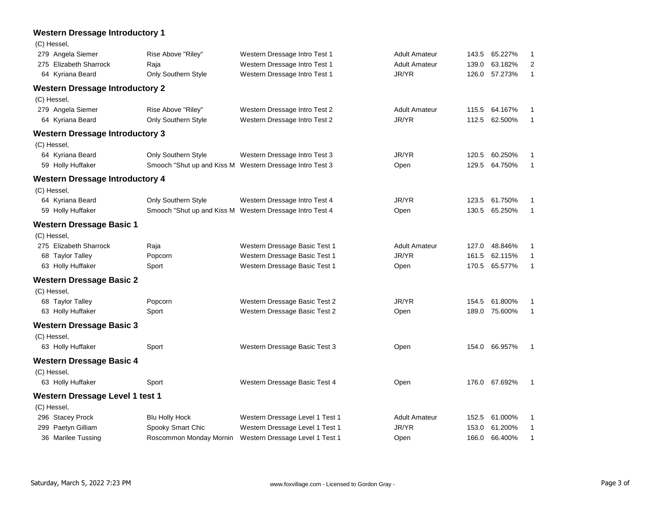| <b>Western Dressage Introductory 1</b> |                         |                                                          |                      |       |         |              |
|----------------------------------------|-------------------------|----------------------------------------------------------|----------------------|-------|---------|--------------|
| (C) Hessel,                            |                         |                                                          |                      |       |         |              |
| 279 Angela Siemer                      | Rise Above "Riley"      | Western Dressage Intro Test 1                            | <b>Adult Amateur</b> | 143.5 | 65.227% | 1            |
| 275 Elizabeth Sharrock                 | Raja                    | Western Dressage Intro Test 1                            | <b>Adult Amateur</b> | 139.0 | 63.182% | 2            |
| 64 Kyriana Beard                       | Only Southern Style     | Western Dressage Intro Test 1                            | JR/YR                | 126.0 | 57.273% | $\mathbf{1}$ |
| <b>Western Dressage Introductory 2</b> |                         |                                                          |                      |       |         |              |
| (C) Hessel,                            |                         |                                                          |                      |       |         |              |
| 279 Angela Siemer                      | Rise Above "Riley"      | Western Dressage Intro Test 2                            | <b>Adult Amateur</b> | 115.5 | 64.167% | 1            |
| 64 Kyriana Beard                       | Only Southern Style     | Western Dressage Intro Test 2                            | JR/YR                | 112.5 | 62.500% | 1            |
| <b>Western Dressage Introductory 3</b> |                         |                                                          |                      |       |         |              |
| (C) Hessel,                            |                         |                                                          |                      |       |         |              |
| 64 Kyriana Beard                       | Only Southern Style     | Western Dressage Intro Test 3                            | JR/YR                | 120.5 | 60.250% | 1            |
| 59 Holly Huffaker                      |                         | Smooch "Shut up and Kiss M Western Dressage Intro Test 3 | Open                 | 129.5 | 64.750% | 1            |
| <b>Western Dressage Introductory 4</b> |                         |                                                          |                      |       |         |              |
| (C) Hessel,                            |                         |                                                          |                      |       |         |              |
| 64 Kyriana Beard                       | Only Southern Style     | Western Dressage Intro Test 4                            | JR/YR                | 123.5 | 61.750% | 1            |
| 59 Holly Huffaker                      |                         | Smooch "Shut up and Kiss M Western Dressage Intro Test 4 | Open                 | 130.5 | 65.250% | 1            |
| <b>Western Dressage Basic 1</b>        |                         |                                                          |                      |       |         |              |
| (C) Hessel,                            |                         |                                                          |                      |       |         |              |
| 275 Elizabeth Sharrock                 | Raja                    | Western Dressage Basic Test 1                            | <b>Adult Amateur</b> | 127.0 | 48.846% | 1            |
| 68 Taylor Talley                       | Popcorn                 | Western Dressage Basic Test 1                            | JR/YR                | 161.5 | 62.115% | 1            |
| 63 Holly Huffaker                      | Sport                   | Western Dressage Basic Test 1                            | Open                 | 170.5 | 65.577% | $\mathbf{1}$ |
| <b>Western Dressage Basic 2</b>        |                         |                                                          |                      |       |         |              |
| (C) Hessel,                            |                         |                                                          |                      |       |         |              |
| 68 Taylor Talley                       | Popcorn                 | Western Dressage Basic Test 2                            | JR/YR                | 154.5 | 61.800% | 1            |
| 63 Holly Huffaker                      | Sport                   | Western Dressage Basic Test 2                            | Open                 | 189.0 | 75.600% | 1            |
| <b>Western Dressage Basic 3</b>        |                         |                                                          |                      |       |         |              |
| (C) Hessel,                            |                         |                                                          |                      |       |         |              |
| 63 Holly Huffaker                      | Sport                   | Western Dressage Basic Test 3                            | Open                 | 154.0 | 66.957% | 1            |
| <b>Western Dressage Basic 4</b>        |                         |                                                          |                      |       |         |              |
| (C) Hessel,                            |                         |                                                          |                      |       |         |              |
| 63 Holly Huffaker                      | Sport                   | Western Dressage Basic Test 4                            | Open                 | 176.0 | 67.692% | $\mathbf 1$  |
| Western Dressage Level 1 test 1        |                         |                                                          |                      |       |         |              |
| (C) Hessel,                            |                         |                                                          |                      |       |         |              |
| 296 Stacey Prock                       | <b>Blu Holly Hock</b>   | Western Dressage Level 1 Test 1                          | <b>Adult Amateur</b> | 152.5 | 61.000% | 1            |
| 299 Paetyn Gilliam                     | Spooky Smart Chic       | Western Dressage Level 1 Test 1                          | JR/YR                | 153.0 | 61.200% | 1            |
| 36 Marilee Tussing                     | Roscommon Monday Mornin | Western Dressage Level 1 Test 1                          | Open                 | 166.0 | 66.400% | $\mathbf{1}$ |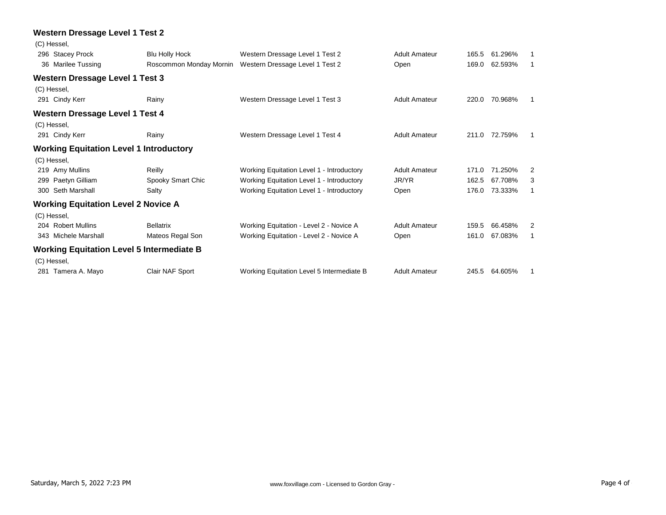|             | <b>Western Dressage Level 1 Test 2</b>           |                         |                                           |                      |       |               |             |
|-------------|--------------------------------------------------|-------------------------|-------------------------------------------|----------------------|-------|---------------|-------------|
| (C) Hessel, |                                                  |                         |                                           |                      |       |               |             |
|             | 296 Stacey Prock                                 | <b>Blu Holly Hock</b>   | Western Dressage Level 1 Test 2           | <b>Adult Amateur</b> | 165.5 | 61.296%       | 1           |
|             | 36 Marilee Tussing                               | Roscommon Monday Mornin | Western Dressage Level 1 Test 2           | Open                 | 169.0 | 62.593%       | $\mathbf 1$ |
|             | <b>Western Dressage Level 1 Test 3</b>           |                         |                                           |                      |       |               |             |
| (C) Hessel, |                                                  |                         |                                           |                      |       |               |             |
|             | 291 Cindy Kerr                                   | Rainy                   | Western Dressage Level 1 Test 3           | <b>Adult Amateur</b> | 220.0 | 70.968%       | 1           |
|             | <b>Western Dressage Level 1 Test 4</b>           |                         |                                           |                      |       |               |             |
| (C) Hessel, |                                                  |                         |                                           |                      |       |               |             |
|             | 291 Cindy Kerr                                   | Rainy                   | Western Dressage Level 1 Test 4           | <b>Adult Amateur</b> |       | 211.0 72.759% | 1           |
|             | <b>Working Equitation Level 1 Introductory</b>   |                         |                                           |                      |       |               |             |
| (C) Hessel, |                                                  |                         |                                           |                      |       |               |             |
|             | 219 Amy Mullins                                  | Reilly                  | Working Equitation Level 1 - Introductory | <b>Adult Amateur</b> | 171.0 | 71.250%       | 2           |
| 299         | Paetyn Gilliam                                   | Spooky Smart Chic       | Working Equitation Level 1 - Introductory | JR/YR                | 162.5 | 67.708%       | 3           |
|             | 300 Seth Marshall                                | Salty                   | Working Equitation Level 1 - Introductory | Open                 | 176.0 | 73.333%       | 1           |
|             | <b>Working Equitation Level 2 Novice A</b>       |                         |                                           |                      |       |               |             |
| (C) Hessel, |                                                  |                         |                                           |                      |       |               |             |
|             | 204 Robert Mullins                               | <b>Bellatrix</b>        | Working Equitation - Level 2 - Novice A   | <b>Adult Amateur</b> | 159.5 | 66.458%       | 2           |
|             | 343 Michele Marshall                             | Mateos Regal Son        | Working Equitation - Level 2 - Novice A   | Open                 | 161.0 | 67.083%       | 1           |
|             | <b>Working Equitation Level 5 Intermediate B</b> |                         |                                           |                      |       |               |             |
| (C) Hessel, |                                                  |                         |                                           |                      |       |               |             |
|             | 281 Tamera A. Mayo                               | Clair NAF Sport         | Working Equitation Level 5 Intermediate B | <b>Adult Amateur</b> | 245.5 | 64.605%       | 1           |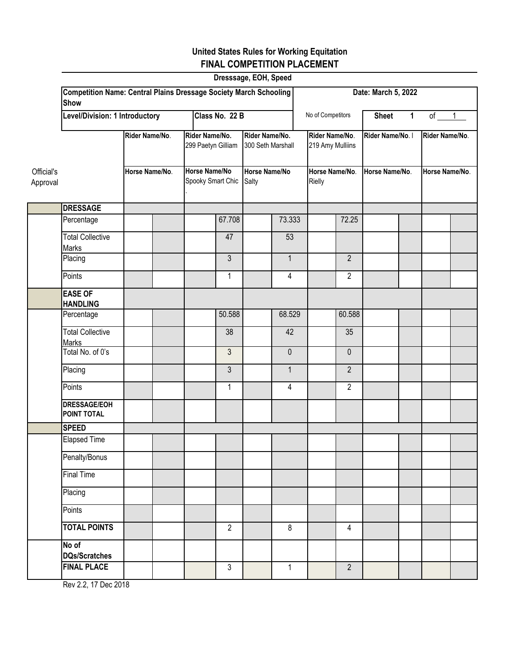### **United States Rules for Working Equitation FINAL COMPETITION PLACEMENT**

| Dresssage, EOH, Speed  |                                                                                         |                |                     |                                      |                                           |                                     |                               |                                                  |                          |                  |                |                |                |  |
|------------------------|-----------------------------------------------------------------------------------------|----------------|---------------------|--------------------------------------|-------------------------------------------|-------------------------------------|-------------------------------|--------------------------------------------------|--------------------------|------------------|----------------|----------------|----------------|--|
|                        | <b>Competition Name: Central Plains Dressage Society March Schooling</b><br><b>Show</b> |                | Date: March 5, 2022 |                                      |                                           |                                     |                               |                                                  |                          |                  |                |                |                |  |
|                        | Level/Division: 1 Introductory                                                          |                |                     |                                      | Class No. 22 B                            |                                     |                               | No of Competitors<br><b>Sheet</b><br>$\mathbf 1$ |                          |                  |                |                | of $1$         |  |
|                        |                                                                                         | Rider Name/No. |                     | Rider Name/No.<br>299 Paetyn Gilliam |                                           | Rider Name/No.<br>300 Seth Marshall |                               | Rider Name/No.<br>219 Amy Mulliins               |                          | Rider Name/No. I |                | Rider Name/No. |                |  |
| Official's<br>Approval |                                                                                         | Horse Name/No. |                     |                                      | <b>Horse Name/No</b><br>Spooky Smart Chic |                                     | <b>Horse Name/No</b><br>Salty |                                                  | Horse Name/No.<br>Rielly |                  | Horse Name/No. |                | Horse Name/No. |  |
|                        | <b>DRESSAGE</b>                                                                         |                |                     |                                      |                                           |                                     |                               |                                                  |                          |                  |                |                |                |  |
|                        | Percentage                                                                              |                |                     |                                      | 67.708                                    |                                     | 73.333                        |                                                  | 72.25                    |                  |                |                |                |  |
|                        | <b>Total Collective</b><br><b>Marks</b>                                                 |                |                     |                                      | 47                                        |                                     | 53                            |                                                  |                          |                  |                |                |                |  |
|                        | Placing                                                                                 |                |                     |                                      | 3                                         |                                     | $\mathbf{1}$                  |                                                  | $\overline{2}$           |                  |                |                |                |  |
|                        | Points                                                                                  |                |                     |                                      | $\mathbf{1}$                              |                                     | 4                             |                                                  | $\overline{2}$           |                  |                |                |                |  |
|                        | <b>EASE OF</b><br><b>HANDLING</b>                                                       |                |                     |                                      |                                           |                                     |                               |                                                  |                          |                  |                |                |                |  |
|                        | Percentage                                                                              |                |                     |                                      | 50.588                                    |                                     | 68.529                        |                                                  | 60.588                   |                  |                |                |                |  |
|                        | <b>Total Collective</b><br><b>Marks</b>                                                 |                |                     |                                      | 38                                        |                                     | 42                            |                                                  | 35                       |                  |                |                |                |  |
|                        | Total No. of 0's                                                                        |                |                     |                                      | 3                                         |                                     | $\mathbf 0$                   |                                                  | $\mathbf 0$              |                  |                |                |                |  |
|                        | Placing                                                                                 |                |                     |                                      | 3                                         |                                     | $\mathbf{1}$                  |                                                  | $\overline{2}$           |                  |                |                |                |  |
|                        | Points                                                                                  |                |                     |                                      | $\mathbf{1}$                              |                                     | 4                             |                                                  | $\overline{2}$           |                  |                |                |                |  |
|                        | <b>DRESSAGE/EOH</b><br>POINT TOTAL                                                      |                |                     |                                      |                                           |                                     |                               |                                                  |                          |                  |                |                |                |  |
|                        | <b>SPEED</b>                                                                            |                |                     |                                      |                                           |                                     |                               |                                                  |                          |                  |                |                |                |  |
|                        | <b>Elapsed Time</b>                                                                     |                |                     |                                      |                                           |                                     |                               |                                                  |                          |                  |                |                |                |  |
|                        | Penalty/Bonus                                                                           |                |                     |                                      |                                           |                                     |                               |                                                  |                          |                  |                |                |                |  |
|                        | Final Time                                                                              |                |                     |                                      |                                           |                                     |                               |                                                  |                          |                  |                |                |                |  |
|                        | Placing                                                                                 |                |                     |                                      |                                           |                                     |                               |                                                  |                          |                  |                |                |                |  |
|                        | Points                                                                                  |                |                     |                                      |                                           |                                     |                               |                                                  |                          |                  |                |                |                |  |
|                        | <b>TOTAL POINTS</b>                                                                     |                |                     |                                      | $\overline{2}$                            |                                     | 8                             |                                                  | 4                        |                  |                |                |                |  |
|                        | No of<br><b>DQs/Scratches</b>                                                           |                |                     |                                      |                                           |                                     |                               |                                                  |                          |                  |                |                |                |  |
|                        | <b>FINAL PLACE</b>                                                                      |                |                     |                                      | $\mathfrak{Z}$                            |                                     | $\mathbf{1}$                  |                                                  | $\overline{2}$           |                  |                |                |                |  |

Rev 2.2, 17 Dec 2018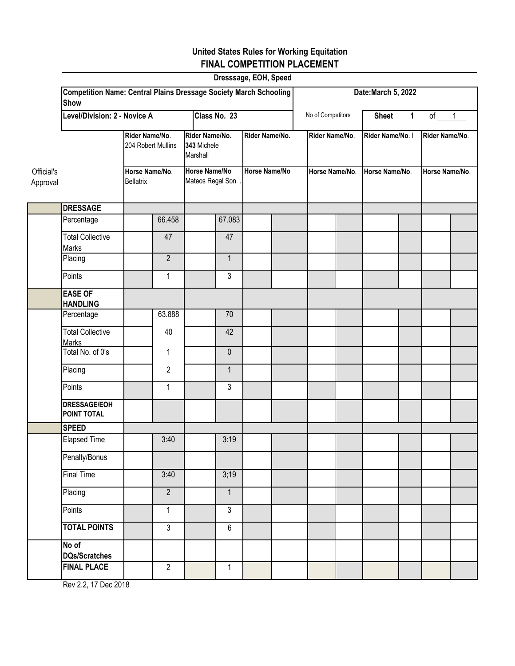### **United States Rules for Working Equitation FINAL COMPETITION PLACEMENT**

| Dresssage, EOH, Speed  |                                                                                         |                                      |                |                                           |                |                      |  |                                                            |  |                  |  |                |  |
|------------------------|-----------------------------------------------------------------------------------------|--------------------------------------|----------------|-------------------------------------------|----------------|----------------------|--|------------------------------------------------------------|--|------------------|--|----------------|--|
|                        | <b>Competition Name: Central Plains Dressage Society March Schooling</b><br><b>Show</b> |                                      |                |                                           |                |                      |  | Date: March 5, 2022                                        |  |                  |  |                |  |
|                        | Level/Division: 2 - Novice A                                                            |                                      |                |                                           | Class No. 23   |                      |  | No of Competitors<br>of $1$<br><b>Sheet</b><br>$\mathbf 1$ |  |                  |  |                |  |
|                        |                                                                                         | Rider Name/No.<br>204 Robert Mullins |                | Rider Name/No.<br>343 Michele<br>Marshall |                | Rider Name/No.       |  | Rider Name/No.                                             |  | Rider Name/No. I |  | Rider Name/No. |  |
| Official's<br>Approval |                                                                                         | Horse Name/No.<br><b>Bellatrix</b>   |                | Horse Name/No<br>Mateos Regal Son         |                | <b>Horse Name/No</b> |  | Horse Name/No.                                             |  | Horse Name/No.   |  | Horse Name/No. |  |
|                        | <b>DRESSAGE</b>                                                                         |                                      |                |                                           |                |                      |  |                                                            |  |                  |  |                |  |
|                        | Percentage                                                                              |                                      | 66.458         |                                           | 67.083         |                      |  |                                                            |  |                  |  |                |  |
|                        | <b>Total Collective</b><br><b>Marks</b>                                                 |                                      | 47             |                                           | 47             |                      |  |                                                            |  |                  |  |                |  |
|                        | Placing                                                                                 |                                      | $\overline{2}$ |                                           | $\mathbf{1}$   |                      |  |                                                            |  |                  |  |                |  |
|                        | Points                                                                                  |                                      | $\mathbf{1}$   |                                           | $\mathfrak{Z}$ |                      |  |                                                            |  |                  |  |                |  |
|                        | <b>EASE OF</b><br><b>HANDLING</b>                                                       |                                      |                |                                           |                |                      |  |                                                            |  |                  |  |                |  |
|                        | Percentage                                                                              |                                      | 63.888         |                                           | 70             |                      |  |                                                            |  |                  |  |                |  |
|                        | <b>Total Collective</b><br><b>Marks</b>                                                 |                                      | 40             |                                           | 42             |                      |  |                                                            |  |                  |  |                |  |
|                        | Total No. of 0's                                                                        |                                      | $\mathbf{1}$   |                                           | $\mathbf 0$    |                      |  |                                                            |  |                  |  |                |  |
|                        | Placing                                                                                 |                                      | $\overline{2}$ |                                           | $\mathbf{1}$   |                      |  |                                                            |  |                  |  |                |  |
|                        | Points                                                                                  |                                      | $\mathbf{1}$   |                                           | 3              |                      |  |                                                            |  |                  |  |                |  |
|                        | <b>DRESSAGE/EOH</b><br>POINT TOTAL                                                      |                                      |                |                                           |                |                      |  |                                                            |  |                  |  |                |  |
|                        | <b>SPEED</b>                                                                            |                                      |                |                                           |                |                      |  |                                                            |  |                  |  |                |  |
|                        | <b>Elapsed Time</b>                                                                     |                                      | 3:40           |                                           | 3:19           |                      |  |                                                            |  |                  |  |                |  |
|                        | Penalty/Bonus                                                                           |                                      |                |                                           |                |                      |  |                                                            |  |                  |  |                |  |
|                        | <b>Final Time</b>                                                                       |                                      | 3:40           |                                           | 3;19           |                      |  |                                                            |  |                  |  |                |  |
|                        | Placing                                                                                 |                                      | $\overline{2}$ |                                           | $\mathbf{1}$   |                      |  |                                                            |  |                  |  |                |  |
|                        | Points                                                                                  |                                      | $\mathbf{1}$   |                                           | $\mathfrak{Z}$ |                      |  |                                                            |  |                  |  |                |  |
|                        | <b>TOTAL POINTS</b>                                                                     |                                      | $\overline{3}$ |                                           | 6              |                      |  |                                                            |  |                  |  |                |  |
|                        | No of<br><b>DQs/Scratches</b>                                                           |                                      |                |                                           |                |                      |  |                                                            |  |                  |  |                |  |
|                        | <b>FINAL PLACE</b>                                                                      |                                      | $\overline{2}$ |                                           | $\mathbf{1}$   |                      |  |                                                            |  |                  |  |                |  |

Rev 2.2, 17 Dec 2018